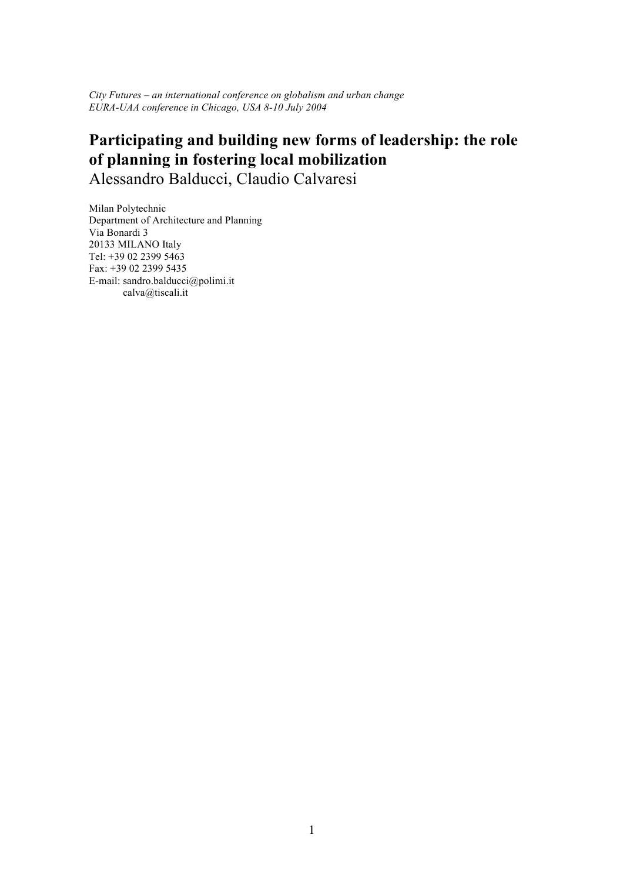*City Futures – an international conference on globalism and urban change EURA-UAA conference in Chicago, USA 8-10 July 2004*

# **Participating and building new forms of leadership: the role of planning in fostering local mobilization** Alessandro Balducci, Claudio Calvaresi

Milan Polytechnic Department of Architecture and Planning Via Bonardi 3 20133 MILANO Italy Tel: +39 02 2399 5463 Fax: +39 02 2399 5435 E-mail: sandro.balducci@polimi.it calva@tiscali.it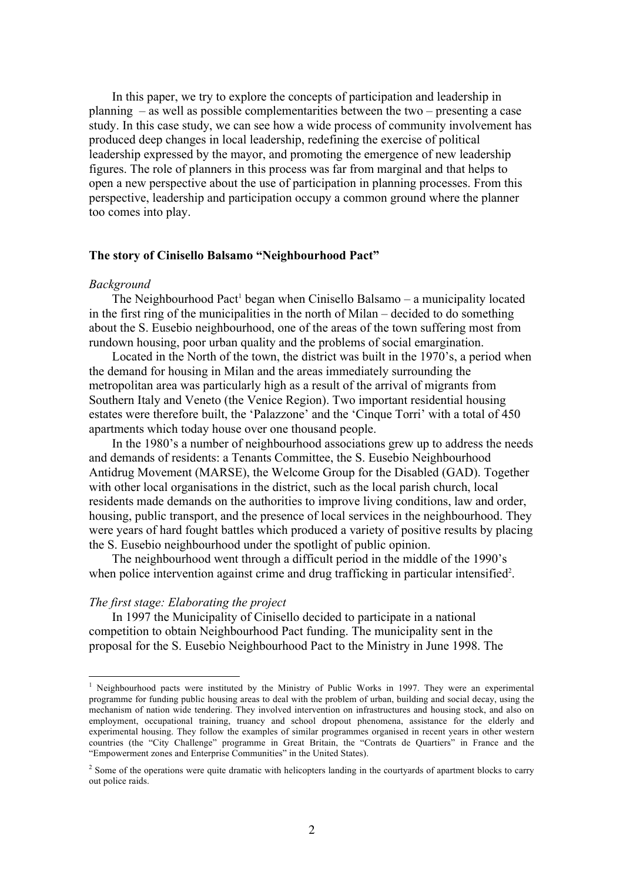In this paper, we try to explore the concepts of participation and leadership in planning – as well as possible complementarities between the two – presenting a case study. In this case study, we can see how a wide process of community involvement has produced deep changes in local leadership, redefining the exercise of political leadership expressed by the mayor, and promoting the emergence of new leadership figures. The role of planners in this process was far from marginal and that helps to open a new perspective about the use of participation in planning processes. From this perspective, leadership and participation occupy a common ground where the planner too comes into play.

#### **The story of Cinisello Balsamo "Neighbourhood Pact"**

#### *Background*

The Neighbourhood Pact<sup>1</sup> began when Cinisello Balsamo – a municipality located in the first ring of the municipalities in the north of Milan – decided to do something about the S. Eusebio neighbourhood, one of the areas of the town suffering most from rundown housing, poor urban quality and the problems of social emargination.

Located in the North of the town, the district was built in the 1970's, a period when the demand for housing in Milan and the areas immediately surrounding the metropolitan area was particularly high as a result of the arrival of migrants from Southern Italy and Veneto (the Venice Region). Two important residential housing estates were therefore built, the 'Palazzone' and the 'Cinque Torri' with a total of 450 apartments which today house over one thousand people.

In the 1980's a number of neighbourhood associations grew up to address the needs and demands of residents: a Tenants Committee, the S. Eusebio Neighbourhood Antidrug Movement (MARSE), the Welcome Group for the Disabled (GAD). Together with other local organisations in the district, such as the local parish church, local residents made demands on the authorities to improve living conditions, law and order, housing, public transport, and the presence of local services in the neighbourhood. They were years of hard fought battles which produced a variety of positive results by placing the S. Eusebio neighbourhood under the spotlight of public opinion.

The neighbourhood went through a difficult period in the middle of the 1990's when police intervention against crime and drug trafficking in particular intensified<sup>2</sup>.

# *The first stage: Elaborating the project*

In 1997 the Municipality of Cinisello decided to participate in a national competition to obtain Neighbourhood Pact funding. The municipality sent in the proposal for the S. Eusebio Neighbourhood Pact to the Ministry in June 1998. The

<sup>&</sup>lt;sup>1</sup> Neighbourhood pacts were instituted by the Ministry of Public Works in 1997. They were an experimental programme for funding public housing areas to deal with the problem of urban, building and social decay, using the mechanism of nation wide tendering. They involved intervention on infrastructures and housing stock, and also on employment, occupational training, truancy and school dropout phenomena, assistance for the elderly and experimental housing. They follow the examples of similar programmes organised in recent years in other western countries (the "City Challenge" programme in Great Britain, the "Contrats de Quartiers" in France and the "Empowerment zones and Enterprise Communities" in the United States).

 $<sup>2</sup>$  Some of the operations were quite dramatic with helicopters landing in the courtyards of apartment blocks to carry</sup> out police raids.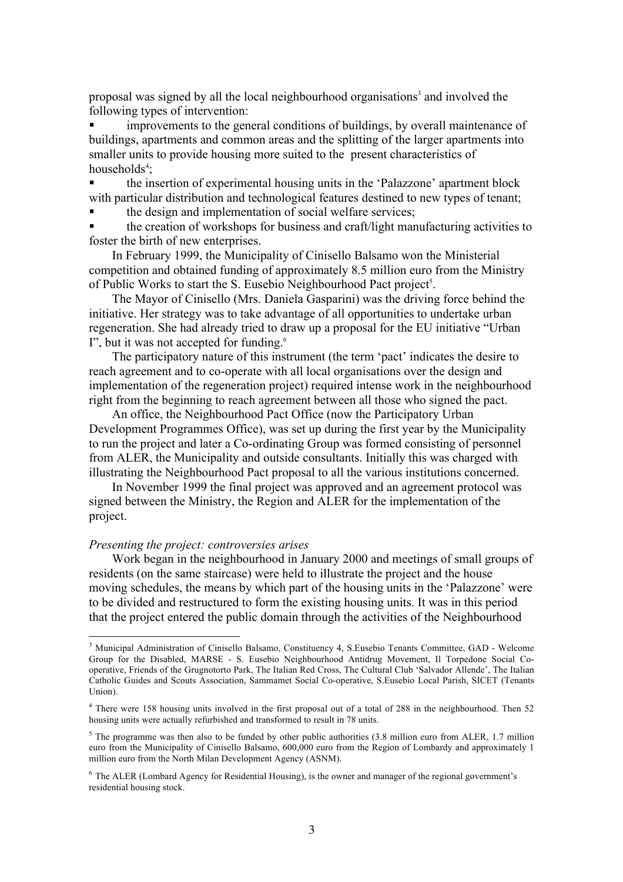proposal was signed by all the local neighbourhood organisations<sup>3</sup> and involved the following types of intervention:

! improvements to the general conditions of buildings, by overall maintenance of buildings, apartments and common areas and the splitting of the larger apartments into smaller units to provide housing more suited to the present characteristics of households<sup>4</sup>;

! the insertion of experimental housing units in the 'Palazzone' apartment block with particular distribution and technological features destined to new types of tenant;

the design and implementation of social welfare services;

! the creation of workshops for business and craft/light manufacturing activities to foster the birth of new enterprises.

In February 1999, the Municipality of Cinisello Balsamo won the Ministerial competition and obtained funding of approximately 8.5 million euro from the Ministry of Public Works to start the S. Eusebio Neighbourhood Pact project<sup>5</sup>.

The Mayor of Cinisello (Mrs. Daniela Gasparini) was the driving force behind the initiative. Her strategy was to take advantage of all opportunities to undertake urban regeneration. She had already tried to draw up a proposal for the EU initiative "Urban I", but it was not accepted for funding. $6$ 

The participatory nature of this instrument (the term 'pact' indicates the desire to reach agreement and to co-operate with all local organisations over the design and implementation of the regeneration project) required intense work in the neighbourhood right from the beginning to reach agreement between all those who signed the pact.

An office, the Neighbourhood Pact Office (now the Participatory Urban Development Programmes Office), was set up during the first year by the Municipality to run the project and later a Co-ordinating Group was formed consisting of personnel from ALER, the Municipality and outside consultants. Initially this was charged with illustrating the Neighbourhood Pact proposal to all the various institutions concerned.

In November 1999 the final project was approved and an agreement protocol was signed between the Ministry, the Region and ALER for the implementation of the project.

# *Presenting the project: controversies arises*

Work began in the neighbourhood in January 2000 and meetings of small groups of residents (on the same staircase) were held to illustrate the project and the house moving schedules, the means by which part of the housing units in the 'Palazzone' were to be divided and restructured to form the existing housing units. It was in this period that the project entered the public domain through the activities of the Neighbourhood

<sup>&</sup>lt;sup>3</sup> Municipal Administration of Cinisello Balsamo, Constituency 4, S.Eusebio Tenants Committee, GAD - Welcome Group for the Disabled, MARSE - S. Eusebio Neighbourhood Antidrug Movement, Il Torpedone Social Cooperative, Friends of the Grugnotorto Park, The Italian Red Cross, The Cultural Club 'Salvador Allende', The Italian Catholic Guides and Scouts Association, Sammamet Social Co-operative, S.Eusebio Local Parish, SICET (Tenants Union).

<sup>&</sup>lt;sup>4</sup> There were 158 housing units involved in the first proposal out of a total of 288 in the neighbourhood. Then 52 housing units were actually refurbished and transformed to result in 78 units.

 $<sup>5</sup>$  The programme was then also to be funded by other public authorities (3.8 million euro from ALER, 1.7 million</sup> euro from the Municipality of Cinisello Balsamo, 600,000 euro from the Region of Lombardy and approximately 1 million euro from the North Milan Development Agency (ASNM).

 $6$  The ALER (Lombard Agency for Residential Housing), is the owner and manager of the regional government's residential housing stock.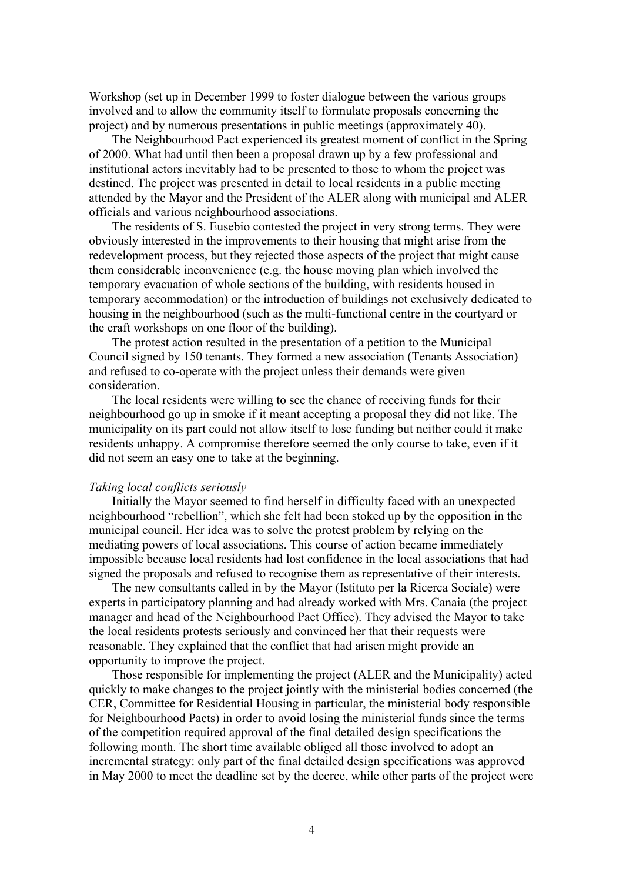Workshop (set up in December 1999 to foster dialogue between the various groups involved and to allow the community itself to formulate proposals concerning the project) and by numerous presentations in public meetings (approximately 40).

The Neighbourhood Pact experienced its greatest moment of conflict in the Spring of 2000. What had until then been a proposal drawn up by a few professional and institutional actors inevitably had to be presented to those to whom the project was destined. The project was presented in detail to local residents in a public meeting attended by the Mayor and the President of the ALER along with municipal and ALER officials and various neighbourhood associations.

The residents of S. Eusebio contested the project in very strong terms. They were obviously interested in the improvements to their housing that might arise from the redevelopment process, but they rejected those aspects of the project that might cause them considerable inconvenience (e.g. the house moving plan which involved the temporary evacuation of whole sections of the building, with residents housed in temporary accommodation) or the introduction of buildings not exclusively dedicated to housing in the neighbourhood (such as the multi-functional centre in the courtyard or the craft workshops on one floor of the building).

The protest action resulted in the presentation of a petition to the Municipal Council signed by 150 tenants. They formed a new association (Tenants Association) and refused to co-operate with the project unless their demands were given consideration.

The local residents were willing to see the chance of receiving funds for their neighbourhood go up in smoke if it meant accepting a proposal they did not like. The municipality on its part could not allow itself to lose funding but neither could it make residents unhappy. A compromise therefore seemed the only course to take, even if it did not seem an easy one to take at the beginning.

## *Taking local conflicts seriously*

Initially the Mayor seemed to find herself in difficulty faced with an unexpected neighbourhood "rebellion", which she felt had been stoked up by the opposition in the municipal council. Her idea was to solve the protest problem by relying on the mediating powers of local associations. This course of action became immediately impossible because local residents had lost confidence in the local associations that had signed the proposals and refused to recognise them as representative of their interests.

The new consultants called in by the Mayor (Istituto per la Ricerca Sociale) were experts in participatory planning and had already worked with Mrs. Canaia (the project manager and head of the Neighbourhood Pact Office). They advised the Mayor to take the local residents protests seriously and convinced her that their requests were reasonable. They explained that the conflict that had arisen might provide an opportunity to improve the project.

Those responsible for implementing the project (ALER and the Municipality) acted quickly to make changes to the project jointly with the ministerial bodies concerned (the CER, Committee for Residential Housing in particular, the ministerial body responsible for Neighbourhood Pacts) in order to avoid losing the ministerial funds since the terms of the competition required approval of the final detailed design specifications the following month. The short time available obliged all those involved to adopt an incremental strategy: only part of the final detailed design specifications was approved in May 2000 to meet the deadline set by the decree, while other parts of the project were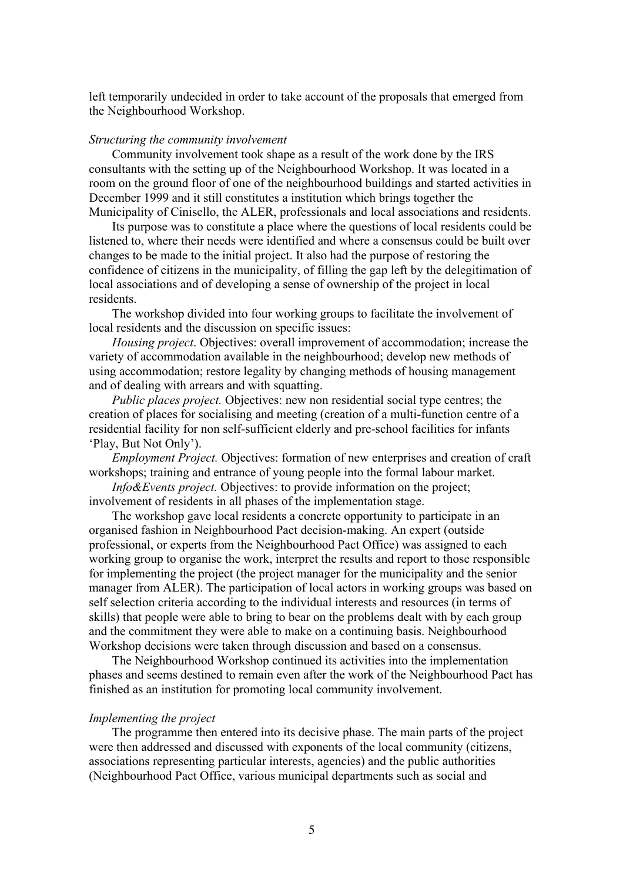left temporarily undecided in order to take account of the proposals that emerged from the Neighbourhood Workshop.

#### *Structuring the community involvement*

Community involvement took shape as a result of the work done by the IRS consultants with the setting up of the Neighbourhood Workshop. It was located in a room on the ground floor of one of the neighbourhood buildings and started activities in December 1999 and it still constitutes a institution which brings together the Municipality of Cinisello, the ALER, professionals and local associations and residents.

Its purpose was to constitute a place where the questions of local residents could be listened to, where their needs were identified and where a consensus could be built over changes to be made to the initial project. It also had the purpose of restoring the confidence of citizens in the municipality, of filling the gap left by the delegitimation of local associations and of developing a sense of ownership of the project in local residents.

The workshop divided into four working groups to facilitate the involvement of local residents and the discussion on specific issues:

*Housing project*. Objectives: overall improvement of accommodation; increase the variety of accommodation available in the neighbourhood; develop new methods of using accommodation; restore legality by changing methods of housing management and of dealing with arrears and with squatting.

*Public places project.* Objectives: new non residential social type centres; the creation of places for socialising and meeting (creation of a multi-function centre of a residential facility for non self-sufficient elderly and pre-school facilities for infants 'Play, But Not Only').

*Employment Project.* Objectives: formation of new enterprises and creation of craft workshops; training and entrance of young people into the formal labour market.

*Info&Events project.* Objectives: to provide information on the project; involvement of residents in all phases of the implementation stage.

The workshop gave local residents a concrete opportunity to participate in an organised fashion in Neighbourhood Pact decision-making. An expert (outside professional, or experts from the Neighbourhood Pact Office) was assigned to each working group to organise the work, interpret the results and report to those responsible for implementing the project (the project manager for the municipality and the senior manager from ALER). The participation of local actors in working groups was based on self selection criteria according to the individual interests and resources (in terms of skills) that people were able to bring to bear on the problems dealt with by each group and the commitment they were able to make on a continuing basis. Neighbourhood Workshop decisions were taken through discussion and based on a consensus.

The Neighbourhood Workshop continued its activities into the implementation phases and seems destined to remain even after the work of the Neighbourhood Pact has finished as an institution for promoting local community involvement.

## *Implementing the project*

The programme then entered into its decisive phase. The main parts of the project were then addressed and discussed with exponents of the local community (citizens, associations representing particular interests, agencies) and the public authorities (Neighbourhood Pact Office, various municipal departments such as social and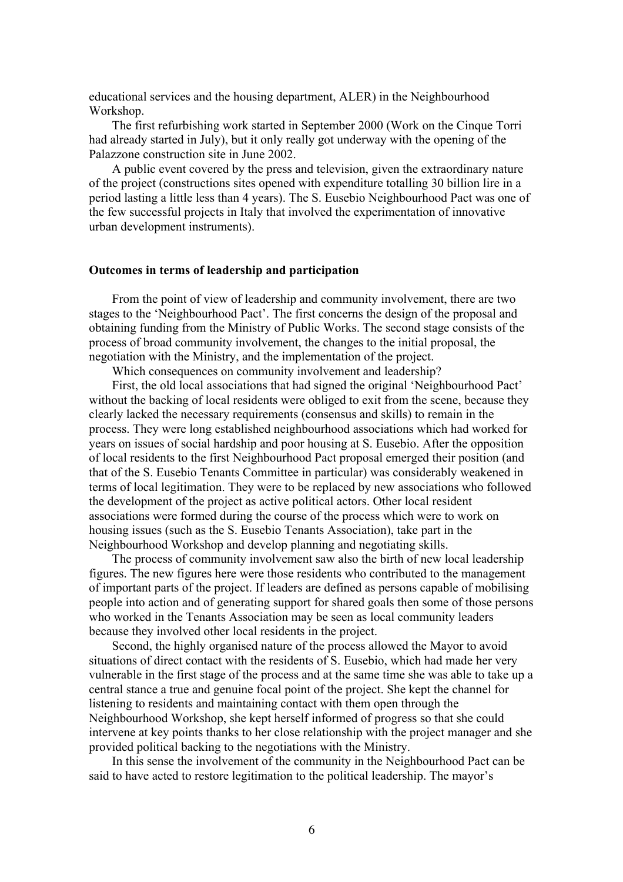educational services and the housing department, ALER) in the Neighbourhood Workshop.

The first refurbishing work started in September 2000 (Work on the Cinque Torri had already started in July), but it only really got underway with the opening of the Palazzone construction site in June 2002.

A public event covered by the press and television, given the extraordinary nature of the project (constructions sites opened with expenditure totalling 30 billion lire in a period lasting a little less than 4 years). The S. Eusebio Neighbourhood Pact was one of the few successful projects in Italy that involved the experimentation of innovative urban development instruments).

## **Outcomes in terms of leadership and participation**

From the point of view of leadership and community involvement, there are two stages to the 'Neighbourhood Pact'. The first concerns the design of the proposal and obtaining funding from the Ministry of Public Works. The second stage consists of the process of broad community involvement, the changes to the initial proposal, the negotiation with the Ministry, and the implementation of the project.

Which consequences on community involvement and leadership?

First, the old local associations that had signed the original 'Neighbourhood Pact' without the backing of local residents were obliged to exit from the scene, because they clearly lacked the necessary requirements (consensus and skills) to remain in the process. They were long established neighbourhood associations which had worked for years on issues of social hardship and poor housing at S. Eusebio. After the opposition of local residents to the first Neighbourhood Pact proposal emerged their position (and that of the S. Eusebio Tenants Committee in particular) was considerably weakened in terms of local legitimation. They were to be replaced by new associations who followed the development of the project as active political actors. Other local resident associations were formed during the course of the process which were to work on housing issues (such as the S. Eusebio Tenants Association), take part in the Neighbourhood Workshop and develop planning and negotiating skills.

The process of community involvement saw also the birth of new local leadership figures. The new figures here were those residents who contributed to the management of important parts of the project. If leaders are defined as persons capable of mobilising people into action and of generating support for shared goals then some of those persons who worked in the Tenants Association may be seen as local community leaders because they involved other local residents in the project.

Second, the highly organised nature of the process allowed the Mayor to avoid situations of direct contact with the residents of S. Eusebio, which had made her very vulnerable in the first stage of the process and at the same time she was able to take up a central stance a true and genuine focal point of the project. She kept the channel for listening to residents and maintaining contact with them open through the Neighbourhood Workshop, she kept herself informed of progress so that she could intervene at key points thanks to her close relationship with the project manager and she provided political backing to the negotiations with the Ministry.

In this sense the involvement of the community in the Neighbourhood Pact can be said to have acted to restore legitimation to the political leadership. The mayor's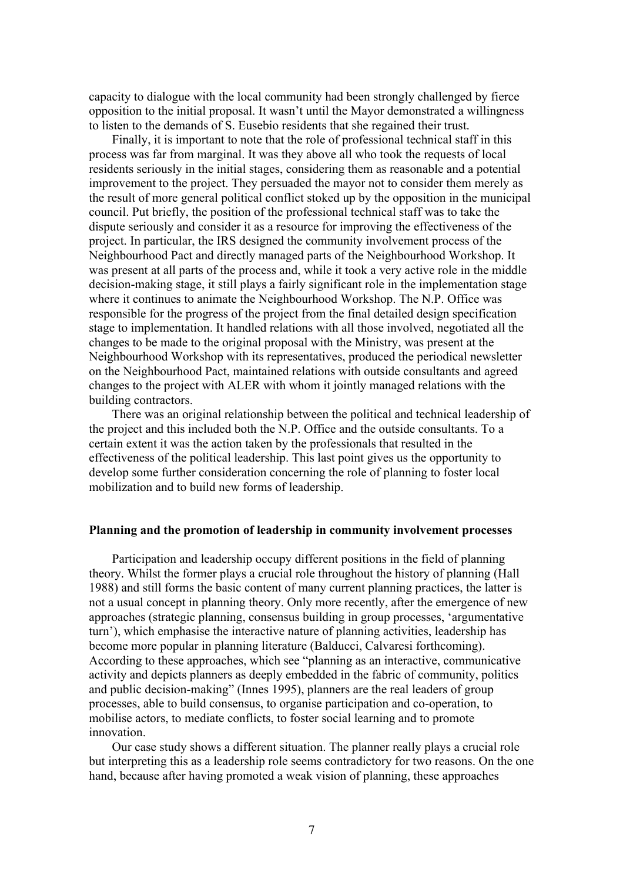capacity to dialogue with the local community had been strongly challenged by fierce opposition to the initial proposal. It wasn't until the Mayor demonstrated a willingness to listen to the demands of S. Eusebio residents that she regained their trust.

Finally, it is important to note that the role of professional technical staff in this process was far from marginal. It was they above all who took the requests of local residents seriously in the initial stages, considering them as reasonable and a potential improvement to the project. They persuaded the mayor not to consider them merely as the result of more general political conflict stoked up by the opposition in the municipal council. Put briefly, the position of the professional technical staff was to take the dispute seriously and consider it as a resource for improving the effectiveness of the project. In particular, the IRS designed the community involvement process of the Neighbourhood Pact and directly managed parts of the Neighbourhood Workshop. It was present at all parts of the process and, while it took a very active role in the middle decision-making stage, it still plays a fairly significant role in the implementation stage where it continues to animate the Neighbourhood Workshop. The N.P. Office was responsible for the progress of the project from the final detailed design specification stage to implementation. It handled relations with all those involved, negotiated all the changes to be made to the original proposal with the Ministry, was present at the Neighbourhood Workshop with its representatives, produced the periodical newsletter on the Neighbourhood Pact, maintained relations with outside consultants and agreed changes to the project with ALER with whom it jointly managed relations with the building contractors.

There was an original relationship between the political and technical leadership of the project and this included both the N.P. Office and the outside consultants. To a certain extent it was the action taken by the professionals that resulted in the effectiveness of the political leadership. This last point gives us the opportunity to develop some further consideration concerning the role of planning to foster local mobilization and to build new forms of leadership.

## **Planning and the promotion of leadership in community involvement processes**

Participation and leadership occupy different positions in the field of planning theory. Whilst the former plays a crucial role throughout the history of planning (Hall 1988) and still forms the basic content of many current planning practices, the latter is not a usual concept in planning theory. Only more recently, after the emergence of new approaches (strategic planning, consensus building in group processes, 'argumentative turn'), which emphasise the interactive nature of planning activities, leadership has become more popular in planning literature (Balducci, Calvaresi forthcoming). According to these approaches, which see "planning as an interactive, communicative activity and depicts planners as deeply embedded in the fabric of community, politics and public decision-making" (Innes 1995), planners are the real leaders of group processes, able to build consensus, to organise participation and co-operation, to mobilise actors, to mediate conflicts, to foster social learning and to promote innovation.

Our case study shows a different situation. The planner really plays a crucial role but interpreting this as a leadership role seems contradictory for two reasons. On the one hand, because after having promoted a weak vision of planning, these approaches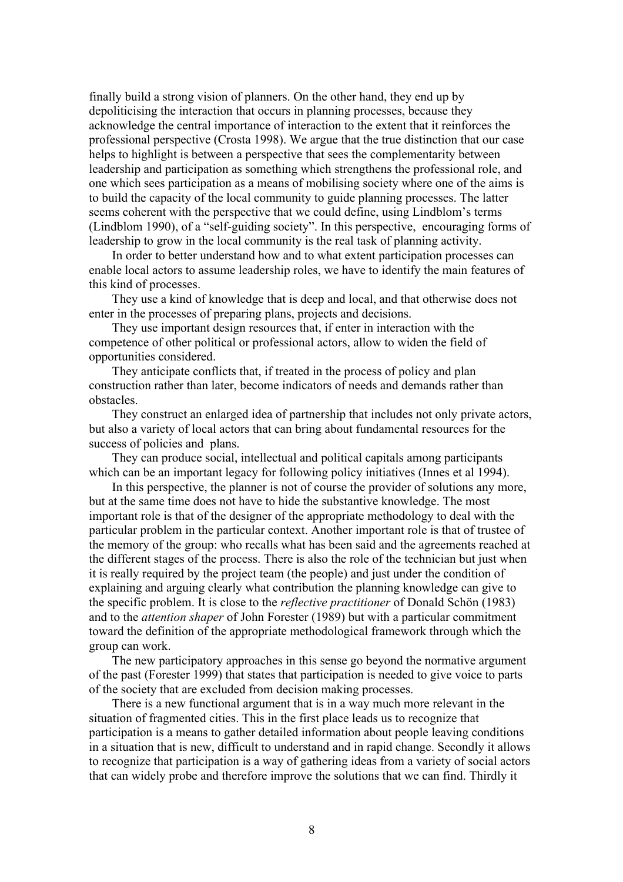finally build a strong vision of planners. On the other hand, they end up by depoliticising the interaction that occurs in planning processes, because they acknowledge the central importance of interaction to the extent that it reinforces the professional perspective (Crosta 1998). We argue that the true distinction that our case helps to highlight is between a perspective that sees the complementarity between leadership and participation as something which strengthens the professional role, and one which sees participation as a means of mobilising society where one of the aims is to build the capacity of the local community to guide planning processes. The latter seems coherent with the perspective that we could define, using Lindblom's terms (Lindblom 1990), of a "self-guiding society". In this perspective, encouraging forms of leadership to grow in the local community is the real task of planning activity.

In order to better understand how and to what extent participation processes can enable local actors to assume leadership roles, we have to identify the main features of this kind of processes.

They use a kind of knowledge that is deep and local, and that otherwise does not enter in the processes of preparing plans, projects and decisions.

They use important design resources that, if enter in interaction with the competence of other political or professional actors, allow to widen the field of opportunities considered.

They anticipate conflicts that, if treated in the process of policy and plan construction rather than later, become indicators of needs and demands rather than obstacles.

They construct an enlarged idea of partnership that includes not only private actors, but also a variety of local actors that can bring about fundamental resources for the success of policies and plans.

They can produce social, intellectual and political capitals among participants which can be an important legacy for following policy initiatives (Innes et al 1994).

In this perspective, the planner is not of course the provider of solutions any more, but at the same time does not have to hide the substantive knowledge. The most important role is that of the designer of the appropriate methodology to deal with the particular problem in the particular context. Another important role is that of trustee of the memory of the group: who recalls what has been said and the agreements reached at the different stages of the process. There is also the role of the technician but just when it is really required by the project team (the people) and just under the condition of explaining and arguing clearly what contribution the planning knowledge can give to the specific problem. It is close to the *reflective practitioner* of Donald Schön (1983) and to the *attention shaper* of John Forester (1989) but with a particular commitment toward the definition of the appropriate methodological framework through which the group can work.

The new participatory approaches in this sense go beyond the normative argument of the past (Forester 1999) that states that participation is needed to give voice to parts of the society that are excluded from decision making processes.

There is a new functional argument that is in a way much more relevant in the situation of fragmented cities. This in the first place leads us to recognize that participation is a means to gather detailed information about people leaving conditions in a situation that is new, difficult to understand and in rapid change. Secondly it allows to recognize that participation is a way of gathering ideas from a variety of social actors that can widely probe and therefore improve the solutions that we can find. Thirdly it